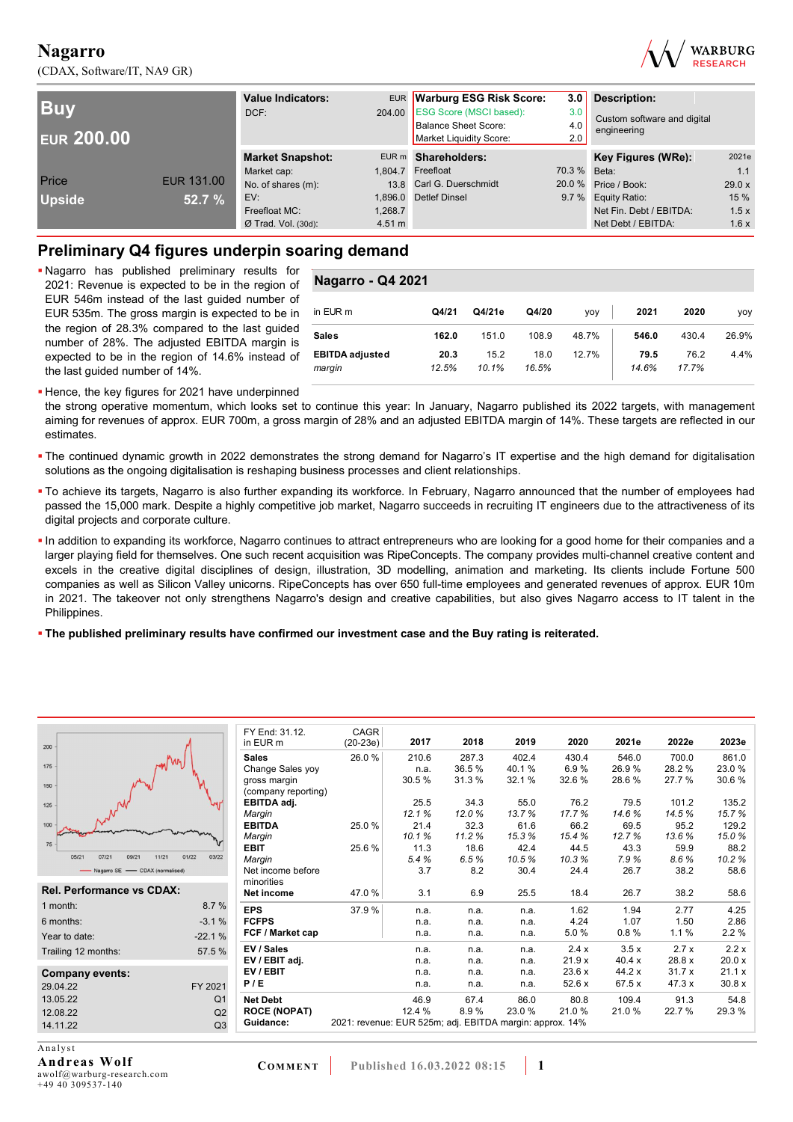(CDAX, Software/IT, NA9 GR)



| <b>Buy</b><br><b>EUR 200.00</b> |                   | <b>Value Indicators:</b><br>DCF: |         | EUR Warburg ESG Risk Score:<br>3.0<br>204.00 ESG Score (MSCI based):<br>3.0<br><b>Balance Sheet Score:</b><br>4.0<br>Market Liquidity Score:<br>2.0 |              | <b>Description:</b><br>Custom software and digital<br>engineering |        |
|---------------------------------|-------------------|----------------------------------|---------|-----------------------------------------------------------------------------------------------------------------------------------------------------|--------------|-------------------------------------------------------------------|--------|
|                                 |                   | <b>Market Snapshot:</b>          |         | EUR m Shareholders:                                                                                                                                 |              | Key Figures (WRe):                                                | 2021e  |
|                                 |                   | Market cap:                      |         | 1.804.7 Freefloat                                                                                                                                   | 70.3 % Beta: |                                                                   | 1.1    |
| Price                           | <b>EUR 131.00</b> | No. of shares (m):               |         | 13.8 Carl G. Duerschmidt                                                                                                                            |              | 20.0 % Price / Book:                                              | 29.0 x |
| <b>Upside</b>                   | 52.7 %            | EV:                              | 1.896.0 | <b>Detlef Dinsel</b>                                                                                                                                |              | 9.7 % Equity Ratio:                                               | 15 %   |
|                                 |                   | Freefloat MC:                    | 1.268.7 |                                                                                                                                                     |              | Net Fin. Debt / EBITDA:                                           | 1.5x   |
|                                 |                   | $Ø$ Trad. Vol. (30d):            | 4.51 m  |                                                                                                                                                     |              | Net Debt / EBITDA:                                                | 1.6x   |

## **Preliminary Q4 figures underpin soaring demand**

 Nagarro has published preliminary results for 2021: Revenue is expected to be in the region of EUR 546m instead of the last guided number of EUR 535m. The gross margin is expected to be in the region of 28.3% compared to the last guided number of 28%. The adjusted EBITDA margin is expected to be in the region of 14.6% instead of the last guided number of 14%.

| <b>Nagarro - Q4 2021</b>         |               |               |               |       |               |               |       |  |
|----------------------------------|---------------|---------------|---------------|-------|---------------|---------------|-------|--|
| in EUR m                         | Q4/21         | Q4/21e        | Q4/20         | yoy   | 2021          | 2020          | yoy   |  |
| <b>Sales</b>                     | 162.0         | 151.0         | 108.9         | 48.7% | 546.0         | 430.4         | 26.9% |  |
| <b>EBITDA</b> adjusted<br>margin | 20.3<br>12.5% | 15.2<br>10.1% | 18.0<br>16.5% | 12.7% | 79.5<br>14.6% | 76.2<br>17.7% | 4.4%  |  |

**- Hence, the key figures for 2021 have underpinned** 

the strong operative momentum, which looks set to continue this year: In January, Nagarro published its 2022 targets, with management aiming for revenues of approx. EUR 700m, a gross margin of 28% and an adjusted EBITDA margin of 14%. These targets are reflected in our estimates.

- The continued dynamic growth in 2022 demonstrates the strong demand for Nagarro's IT expertise and the high demand for digitalisation solutions as the ongoing digitalisation is reshaping business processes and client relationships.
- To achieve its targets, Nagarro is also further expanding its workforce. In February, Nagarro announced that the number of employees had passed the 15,000 mark. Despite a highly competitive job market, Nagarro succeeds in recruiting IT engineers due to the attractiveness of its digital projects and corporate culture.
- In addition to expanding its workforce, Nagarro continues to attract entrepreneurs who are looking for a good home for their companies and a larger playing field for themselves. One such recent acquisition was RipeConcepts. The company provides multi-channel creative content and excels in the creative digital disciplines of design, illustration, 3D modelling, animation and marketing. Its clients include Fortune 500 companies as well as Silicon Valley unicorns. RipeConcepts has over 650 full-time employees and generated revenues of approx. EUR 10m in 2021. The takeover not only strengthens Nagarro's design and creative capabilities, but also gives Nagarro access to IT talent in the Philippines.

#### **The published preliminary results have confirmed our investment case and the Buy rating is reiterated.**

| 200                              |                         | FY End: 31.12.<br>in EUR m | <b>CAGR</b><br>$(20-23e)$                                | 2017   | 2018  | 2019   | 2020  | 2021e  | 2022e  | 2023e  |
|----------------------------------|-------------------------|----------------------------|----------------------------------------------------------|--------|-------|--------|-------|--------|--------|--------|
|                                  |                         | <b>Sales</b>               | 26.0%                                                    | 210.6  | 287.3 | 402.4  | 430.4 | 546.0  | 700.0  | 861.0  |
| 175                              | m/m                     | Change Sales yoy           |                                                          | n.a.   | 36.5% | 40.1%  | 6.9%  | 26.9%  | 28.2%  | 23.0 % |
|                                  |                         | gross margin               |                                                          | 30.5%  | 31.3% | 32.1%  | 32.6% | 28.6%  | 27.7%  | 30.6%  |
|                                  |                         | (company reporting)        |                                                          |        |       |        |       |        |        |        |
|                                  |                         | EBITDA adj.                |                                                          | 25.5   | 34.3  | 55.0   | 76.2  | 79.5   | 101.2  | 135.2  |
| 125                              |                         | Margin                     |                                                          | 12.1%  | 12.0% | 13.7%  | 17.7% | 14.6%  | 14.5%  | 15.7%  |
|                                  |                         | <b>EBITDA</b>              | 25.0%                                                    | 21.4   | 32.3  | 61.6   | 66.2  | 69.5   | 95.2   | 129.2  |
|                                  |                         | Margin                     |                                                          | 10.1%  | 11.2% | 15.3%  | 15.4% | 12.7%  | 13.6%  | 15.0%  |
|                                  |                         | <b>EBIT</b>                | 25.6%                                                    | 11.3   | 18.6  | 42.4   | 44.5  | 43.3   | 59.9   | 88.2   |
| 07/21<br>05/21<br>09/21          | 01/22<br>03/22<br>11/21 | Margin                     |                                                          | 5.4%   | 6.5%  | 10.5%  | 10.3% | 7.9%   | 8.6%   | 10.2%  |
| - Nagarro SE - CDAX (normalised) |                         | Net income before          |                                                          | 3.7    | 8.2   | 30.4   | 24.4  | 26.7   | 38.2   | 58.6   |
|                                  |                         | minorities                 |                                                          |        |       |        |       |        |        |        |
| Rel. Performance vs CDAX:        |                         | Net income                 | 47.0 %                                                   | 3.1    | 6.9   | 25.5   | 18.4  | 26.7   | 38.2   | 58.6   |
| 1 month:                         | 8.7%                    | <b>EPS</b>                 | 37.9%                                                    | n.a.   | n.a.  | n.a.   | 1.62  | 1.94   | 2.77   | 4.25   |
| 6 months:                        | $-3.1%$                 | <b>FCFPS</b>               |                                                          | n.a.   | n.a.  | n.a.   | 4.24  | 1.07   | 1.50   | 2.86   |
| Year to date:                    | $-22.1%$                | FCF / Market cap           |                                                          | n.a.   | n.a.  | n.a.   | 5.0%  | 0.8%   | 1.1%   | 2.2%   |
| Trailing 12 months:              | 57.5 %                  | EV / Sales                 |                                                          | n.a.   | n.a.  | n.a.   | 2.4x  | 3.5x   | 2.7x   | 2.2x   |
|                                  |                         | EV / EBIT adj.             |                                                          | n.a.   | n.a.  | n.a.   | 21.9x | 40.4 x | 28.8 x | 20.0 x |
| <b>Company events:</b>           |                         | EV/EBIT                    |                                                          | n.a.   | n.a.  | n.a.   | 23.6x | 44.2 x | 31.7x  | 21.1 x |
| 29.04.22                         | FY 2021                 | P/E                        |                                                          | n.a.   | n.a.  | n.a.   | 52.6x | 67.5 x | 47.3 x | 30.8x  |
| 13.05.22                         | Q <sub>1</sub>          | <b>Net Debt</b>            |                                                          | 46.9   | 67.4  | 86.0   | 80.8  | 109.4  | 91.3   | 54.8   |
| 12.08.22                         | Q2                      | <b>ROCE (NOPAT)</b>        |                                                          | 12.4 % | 8.9%  | 23.0 % | 21.0% | 21.0%  | 22.7 % | 29.3%  |
| 14.11.22                         | Q <sub>3</sub>          | Guidance:                  | 2021: revenue: EUR 525m; adj. EBITDA margin: approx. 14% |        |       |        |       |        |        |        |

Analyst **Andreas Wolf**  awolf@warburg-research.com +49 40 309537-140

 $\overline{\mathbf{c}}$  $\overline{1}$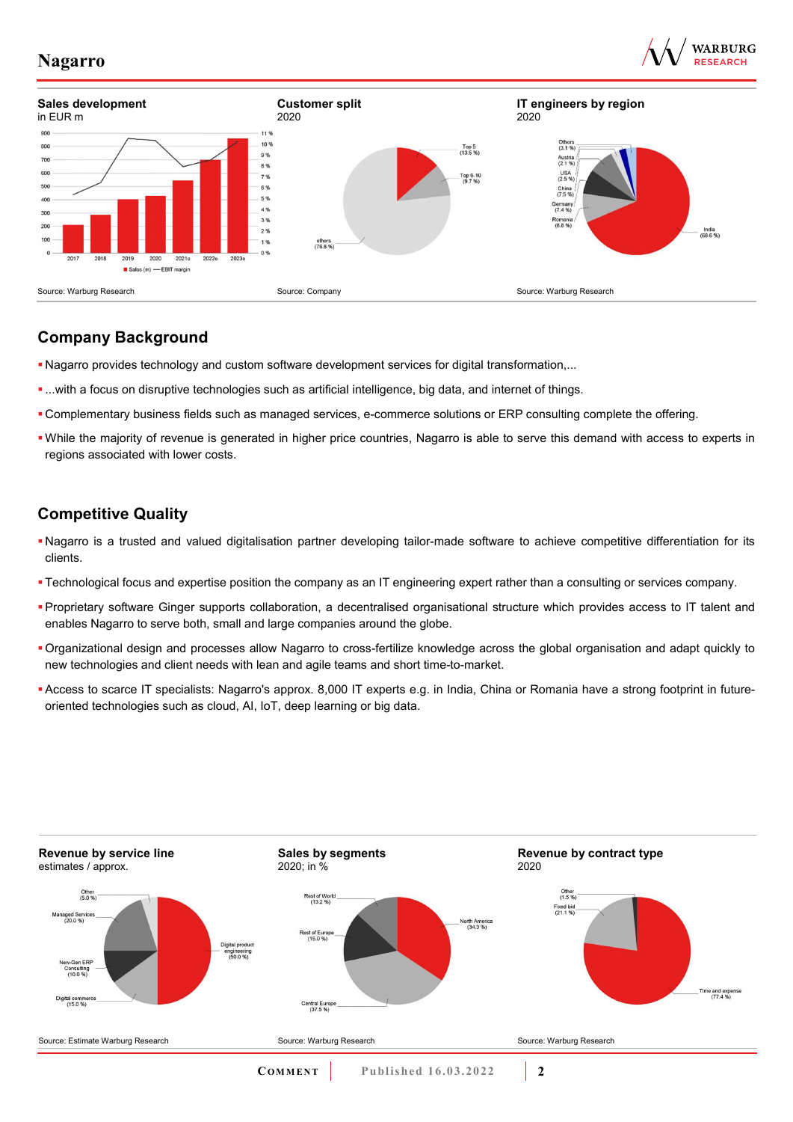





# **Company Background**

- Nagarro provides technology and custom software development services for digital transformation,...
- ...with a focus on disruptive technologies such as artificial intelligence, big data, and internet of things.
- Complementary business fields such as managed services, e-commerce solutions or ERP consulting complete the offering.
- While the majority of revenue is generated in higher price countries, Nagarro is able to serve this demand with access to experts in regions associated with lower costs.

# **Competitive Quality**

- Nagarro is a trusted and valued digitalisation partner developing tailor-made software to achieve competitive differentiation for its clients.
- Technological focus and expertise position the company as an IT engineering expert rather than a consulting or services company.
- Proprietary software Ginger supports collaboration, a decentralised organisational structure which provides access to IT talent and enables Nagarro to serve both, small and large companies around the globe.
- Organizational design and processes allow Nagarro to cross-fertilize knowledge across the global organisation and adapt quickly to new technologies and client needs with lean and agile teams and short time-to-market.
- Access to scarce IT specialists: Nagarro's approx. 8,000 IT experts e.g. in India, China or Romania have a strong footprint in futureoriented technologies such as cloud, AI, IoT, deep learning or big data.

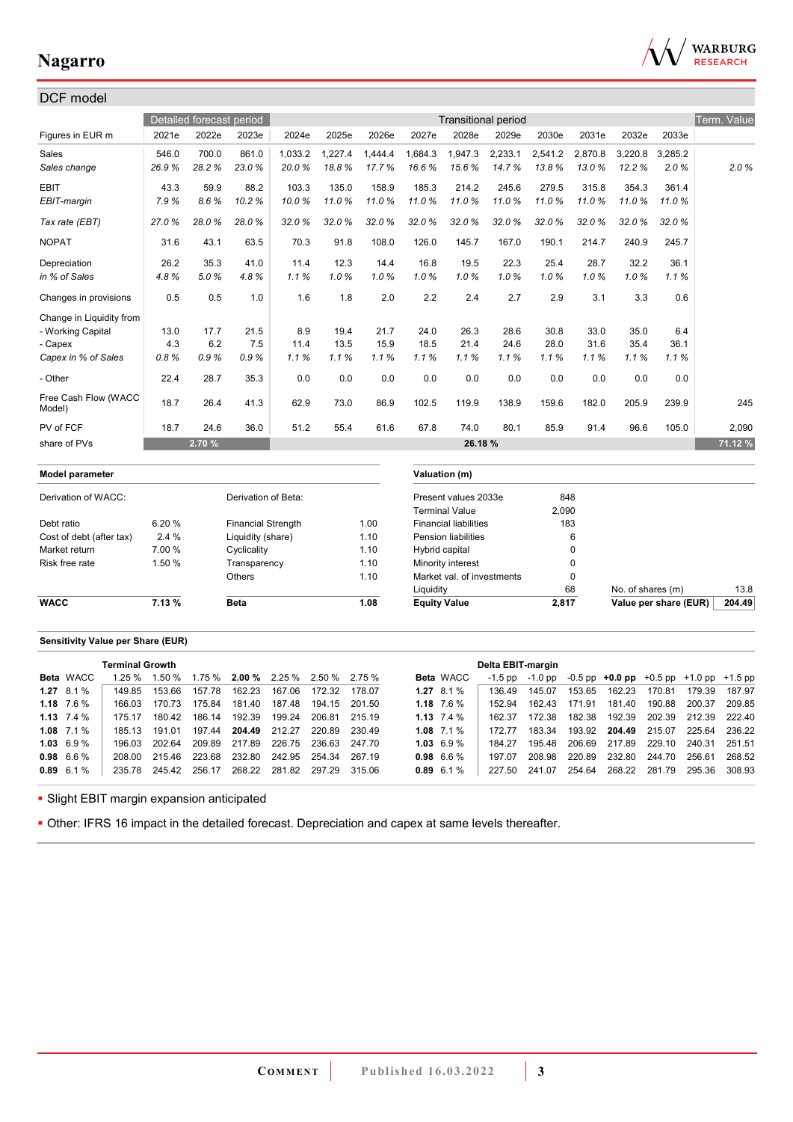

| DCF model                      |        |                          |                           |         |         |         |           |                              |                            |         |             |                   |                       |             |
|--------------------------------|--------|--------------------------|---------------------------|---------|---------|---------|-----------|------------------------------|----------------------------|---------|-------------|-------------------|-----------------------|-------------|
|                                |        | Detailed forecast period |                           |         |         |         |           |                              | <b>Transitional period</b> |         |             |                   |                       | Term. Value |
| Figures in EUR m               | 2021e  | 2022e                    | 2023e                     | 2024e   | 2025e   | 2026e   | 2027e     | 2028e                        | 2029e                      | 2030e   | 2031e       | 2032e             | 2033e                 |             |
| Sales                          | 546.0  | 700.0                    | 861.0                     | 1,033.2 | 1,227.4 | 1,444.4 | 1,684.3   | 1,947.3                      | 2,233.1                    | 2,541.2 | 2,870.8     | 3,220.8           | 3,285.2               |             |
| Sales change                   | 26.9%  | 28.2%                    | 23.0%                     | 20.0%   | 18.8%   | 17.7%   | 16.6%     | 15.6%                        | 14.7%                      | 13.8%   | 13.0%       | 12.2%             | 2.0%                  | 2.0%        |
| <b>EBIT</b>                    | 43.3   | 59.9                     | 88.2                      | 103.3   | 135.0   | 158.9   | 185.3     | 214.2                        | 245.6                      | 279.5   | 315.8       | 354.3             | 361.4                 |             |
| EBIT-margin                    | 7.9%   | 8.6%                     | 10.2%                     | 10.0%   | 11.0%   | 11.0%   | 11.0%     | 11.0%                        | 11.0%                      | 11.0%   | 11.0%       | 11.0%             | 11.0%                 |             |
| Tax rate (EBT)                 | 27.0%  | 28.0%                    | 28.0%                     | 32.0%   | 32.0%   | 32.0%   | 32.0%     | 32.0%                        | 32.0%                      | 32.0%   | 32.0%       | 32.0%             | 32.0%                 |             |
| <b>NOPAT</b>                   | 31.6   | 43.1                     | 63.5                      | 70.3    | 91.8    | 108.0   | 126.0     | 145.7                        | 167.0                      | 190.1   | 214.7       | 240.9             | 245.7                 |             |
| Depreciation                   | 26.2   | 35.3                     | 41.0                      | 11.4    | 12.3    | 14.4    | 16.8      | 19.5                         | 22.3                       | 25.4    | 28.7        | 32.2              | 36.1                  |             |
| in % of Sales                  | 4.8%   | 5.0%                     | 4.8%                      | 1.1%    | 1.0%    | 1.0%    | 1.0%      | 1.0%                         | 1.0%                       | 1.0%    | 1.0%        | 1.0%              | 1.1%                  |             |
| Changes in provisions          | 0.5    | 0.5                      | 1.0                       | 1.6     | 1.8     | 2.0     | 2.2       | 2.4                          | 2.7                        | 2.9     | 3.1         | 3.3               | 0.6                   |             |
| Change in Liquidity from       |        |                          |                           |         |         |         |           |                              |                            |         |             |                   |                       |             |
| - Working Capital              | 13.0   | 17.7                     | 21.5                      | 8.9     | 19.4    | 21.7    | 24.0      | 26.3                         | 28.6                       | 30.8    | 33.0        | 35.0              | 6.4                   |             |
| - Capex                        | 4.3    | 6.2                      | 7.5                       | 11.4    | 13.5    | 15.9    | 18.5      | 21.4                         | 24.6                       | 28.0    | 31.6        | 35.4              | 36.1                  |             |
| Capex in % of Sales            | 0.8%   | 0.9%                     | 0.9%                      | 1.1%    | 1.1%    | 1.1%    | 1.1%      | 1.1%                         | 1.1%                       | 1.1%    | 1.1%        | 1.1%              | 1.1%                  |             |
| - Other                        | 22.4   | 28.7                     | 35.3                      | 0.0     | 0.0     | 0.0     | 0.0       | 0.0                          | 0.0                        | 0.0     | 0.0         | 0.0               | 0.0                   |             |
| Free Cash Flow (WACC<br>Model) | 18.7   | 26.4                     | 41.3                      | 62.9    | 73.0    | 86.9    | 102.5     | 119.9                        | 138.9                      | 159.6   | 182.0       | 205.9             | 239.9                 | 245         |
| PV of FCF                      | 18.7   | 24.6                     | 36.0                      | 51.2    | 55.4    | 61.6    | 67.8      | 74.0                         | 80.1                       | 85.9    | 91.4        | 96.6              | 105.0                 | 2,090       |
| share of PVs                   |        | 2.70 %                   |                           |         |         |         |           | 26.18 %                      |                            |         |             |                   |                       | 71.12 %     |
| <b>Model parameter</b>         |        |                          |                           |         |         |         |           | Valuation (m)                |                            |         |             |                   |                       |             |
| Derivation of WACC:            |        |                          | Derivation of Beta:       |         |         |         |           | Present values 2033e         |                            |         | 848         |                   |                       |             |
|                                |        |                          |                           |         |         |         |           | <b>Terminal Value</b>        |                            | 2,090   |             |                   |                       |             |
| Debt ratio                     | 6.20%  |                          | <b>Financial Strength</b> |         |         | 1.00    |           | <b>Financial liabilities</b> |                            |         | 183         |                   |                       |             |
| Cost of debt (after tax)       | 2.4%   |                          | Liquidity (share)         |         |         | 1.10    |           | <b>Pension liabilities</b>   |                            |         | 6           |                   |                       |             |
| Market return                  | 7.00 % |                          | Cyclicality               |         |         | 1.10    |           | Hybrid capital               |                            |         | $\Omega$    |                   |                       |             |
| Risk free rate                 | 1.50 % |                          | Transparency              |         |         | 1.10    |           | Minority interest            |                            |         | $\Omega$    |                   |                       |             |
|                                |        |                          | Others                    |         |         | 1.10    |           | Market val. of investments   |                            |         | $\mathbf 0$ |                   |                       |             |
|                                |        |                          |                           |         |         |         | Liquidity |                              |                            |         | 68          | No. of shares (m) |                       | 13.8        |
| <b>WACC</b>                    | 7.13 % |                          | <b>Beta</b>               |         |         | 1.08    |           | <b>Equity Value</b>          |                            | 2.817   |             |                   | Value per share (EUR) | 204.49      |

## **Sensitivity Value per Share (EUR)**

|                    | <b>Terminal Growth</b> |               |               |        |                                                           |               |        |                  | Delta EBIT-margin |         |        |                                                   |               |                      |        |
|--------------------|------------------------|---------------|---------------|--------|-----------------------------------------------------------|---------------|--------|------------------|-------------------|---------|--------|---------------------------------------------------|---------------|----------------------|--------|
| Beta WACC          | $1.25 \%$              |               |               |        | $1.50\%$ $1.75\%$ <b>2.00%</b> $2.25\%$ $2.50\%$ $2.75\%$ |               |        | <b>Beta</b> WACC | $-1.5$ pp         | -1.0 pp |        | $-0.5$ pp $+0.0$ pp $+0.5$ pp $+1.0$ pp $+1.5$ pp |               |                      |        |
| $1.27$ 8.1 %       | 14985                  | 153.66        | 157.78        | 162.23 | 167.06                                                    | 172.32        | 178.07 | 1.27 $8.1\%$     | 136 49            | 145.07  | 153.65 | 162.23                                            | 170.81        | 179.39               | 187.97 |
| $1.18$ 7.6 %       | 166.03                 | 170.73        | 175.84        | 181.40 | 187.48                                                    | 194.15        | 201.50 | 1.18 $7.6\%$     | 152.94            | 162.43  | 171.91 | 181.40                                            | 190.88        | 200.37               | 209.85 |
| 1.13 $7.4\%$       | 175 17                 | 180.42        | 186.14        | 192.39 | 199.24                                                    | 206.81        | 215 19 | 1.13 $7.4\%$     | 162.37            | 172.38  | 182.38 | 192.39                                            |               | 202.39 212.39 222.40 |        |
| $1.08$ 7.1 %       | 185 13                 | 191.01        | 197.44        | 204.49 | 212.27                                                    | 220.89        | 230.49 | $1.08$ 7.1 %     | 172 77            | 183.34  |        | 193.92 204.49 215.07                              |               | 225.64               | 236.22 |
| $1.03\quad 6.9\%$  | 196 03                 | 202.64        | 209.89        | 217.89 | 226.75                                                    | 236.63        | 247.70 | $1.03\;6.9\;\%$  | 184 27            | 195.48  | 206.69 | 217.89                                            | 229.10        | 240.31               | 251.51 |
| $0.98 \quad 6.6\%$ | 208.00                 |               | 215.46 223.68 |        | 232.80 242.95 254.34                                      |               | 267.19 | $0.98\ 6.6\%$    | 197 07            | 208.98  | 220.89 | 232.80 244.70                                     |               | 256.61               | 268.52 |
| $0.89$ 6.1 %       | 235.78                 | 245.42 256.17 |               |        | 268.22 281.82                                             | 297.29 315.06 |        | $0.89$ 6.1 %     | 227.50            | 241.07  | 254.64 |                                                   | 268.22 281.79 | 295.36               | 308.93 |
|                    |                        |               |               |        |                                                           |               |        |                  |                   |         |        |                                                   |               |                      |        |

**- Slight EBIT margin expansion anticipated** 

Other: IFRS 16 impact in the detailed forecast. Depreciation and capex at same levels thereafter.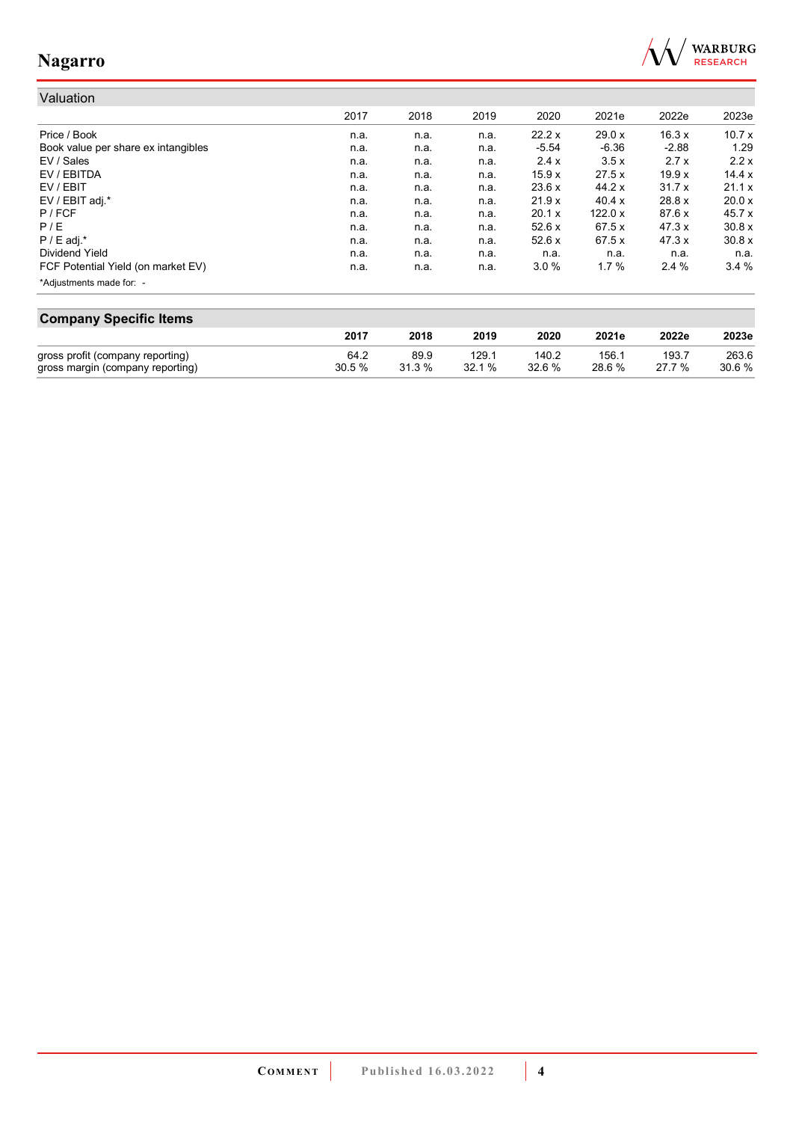

#### Valuation 2017 2018 2019 2020 2021e 2022e 2023e Price / Book n.a. n.a. n.a. 22.2 x 29.0 x 16.3 x 10.7 x Book value per share ex intangibles **n.a.** n.a. n.a. n.a. n.a. -5.54 -6.36 -2.88 1.29<br>EV / Sales 2.7 x 2.2 x n.a. n.a. n.a. 2.4 x 3.5 x 2.7 x 2.2 x EV / Sales n.a. n.a. n.a. 2.4 x 3.5 x 2.7 x 2.2 x EV / EBITDA n.a. n.a. n.a. 15.9 x 27.5 x 19.9 x 14.4 x EV / EBIT n.a. n.a. n.a. 23.6 x 44.2 x 31.7 x 21.1 x EV / EBIT adj.\* n.a. n.a. n.a. 21.9 x 40.4 x 28.8 x 20.0 x P / FCF n.a. n.a. n.a. 20.1 x 122.0 x 87.6 x 45.7 x P / E n.a. n.a. n.a. 52.6 x 67.5 x 47.3 x 30.8 x P / E adj.\* n.a. n.a. n.a. 52.6 x 67.5 x 47.3 x 30.8 x Dividend Yield n.a. n.a. n.a. n.a. n.a. n.a. n.a. FCF Potential Yield (on market EV) **n.a.** n.a. n.a. n.a. 3.0 % 1.7 % 2.4 % 3.4 % \*Adjustments made for: -

| <b>Company Specific Items</b>    |       |        |       |        |        |       |       |  |
|----------------------------------|-------|--------|-------|--------|--------|-------|-------|--|
|                                  | 2017  | 2018   | 2019  | 2020   | 2021e  | 2022e | 2023e |  |
| gross profit (company reporting) | 64.2  | 89.9   | 129.1 | 140.2  | 156.1  | 193.7 | 263.6 |  |
| gross margin (company reporting) | 30.5% | 31.3 % | 32.1% | 32.6 % | 28.6 % | 27.7% | 30.6% |  |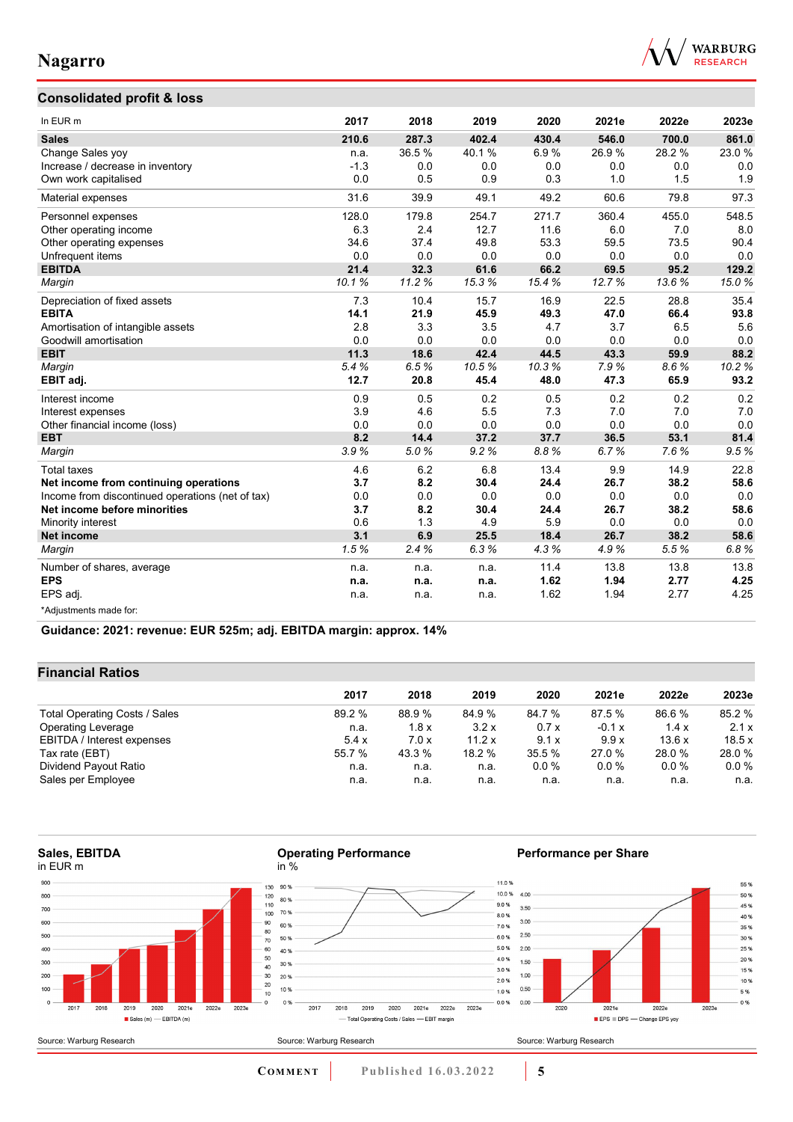

## **Consolidated profit & loss**

| In EUR m                                         | 2017   | 2018  | 2019  | 2020  | 2021e | 2022e | 2023e |
|--------------------------------------------------|--------|-------|-------|-------|-------|-------|-------|
| <b>Sales</b>                                     | 210.6  | 287.3 | 402.4 | 430.4 | 546.0 | 700.0 | 861.0 |
| Change Sales yoy                                 | n.a.   | 36.5% | 40.1% | 6.9%  | 26.9% | 28.2% | 23.0% |
| Increase / decrease in inventory                 | $-1.3$ | 0.0   | 0.0   | 0.0   | 0.0   | 0.0   | 0.0   |
| Own work capitalised                             | 0.0    | 0.5   | 0.9   | 0.3   | 1.0   | 1.5   | 1.9   |
| Material expenses                                | 31.6   | 39.9  | 49.1  | 49.2  | 60.6  | 79.8  | 97.3  |
| Personnel expenses                               | 128.0  | 179.8 | 254.7 | 271.7 | 360.4 | 455.0 | 548.5 |
| Other operating income                           | 6.3    | 2.4   | 12.7  | 11.6  | 6.0   | 7.0   | 8.0   |
| Other operating expenses                         | 34.6   | 37.4  | 49.8  | 53.3  | 59.5  | 73.5  | 90.4  |
| Unfrequent items                                 | 0.0    | 0.0   | 0.0   | 0.0   | 0.0   | 0.0   | 0.0   |
| <b>EBITDA</b>                                    | 21.4   | 32.3  | 61.6  | 66.2  | 69.5  | 95.2  | 129.2 |
| Margin                                           | 10.1%  | 11.2% | 15.3% | 15.4% | 12.7% | 13.6% | 15.0% |
| Depreciation of fixed assets                     | 7.3    | 10.4  | 15.7  | 16.9  | 22.5  | 28.8  | 35.4  |
| <b>EBITA</b>                                     | 14.1   | 21.9  | 45.9  | 49.3  | 47.0  | 66.4  | 93.8  |
| Amortisation of intangible assets                | 2.8    | 3.3   | 3.5   | 4.7   | 3.7   | 6.5   | 5.6   |
| Goodwill amortisation                            | 0.0    | 0.0   | 0.0   | 0.0   | 0.0   | 0.0   | 0.0   |
| <b>EBIT</b>                                      | 11.3   | 18.6  | 42.4  | 44.5  | 43.3  | 59.9  | 88.2  |
| Margin                                           | 5.4%   | 6.5%  | 10.5% | 10.3% | 7.9%  | 8.6%  | 10.2% |
| EBIT adj.                                        | 12.7   | 20.8  | 45.4  | 48.0  | 47.3  | 65.9  | 93.2  |
| Interest income                                  | 0.9    | 0.5   | 0.2   | 0.5   | 0.2   | 0.2   | 0.2   |
| Interest expenses                                | 3.9    | 4.6   | 5.5   | 7.3   | 7.0   | 7.0   | 7.0   |
| Other financial income (loss)                    | 0.0    | 0.0   | 0.0   | 0.0   | 0.0   | 0.0   | 0.0   |
| <b>EBT</b>                                       | 8.2    | 14.4  | 37.2  | 37.7  | 36.5  | 53.1  | 81.4  |
| Margin                                           | 3.9%   | 5.0%  | 9.2%  | 8.8%  | 6.7%  | 7.6%  | 9.5%  |
| <b>Total taxes</b>                               | 4.6    | 6.2   | 6.8   | 13.4  | 9.9   | 14.9  | 22.8  |
| Net income from continuing operations            | 3.7    | 8.2   | 30.4  | 24.4  | 26.7  | 38.2  | 58.6  |
| Income from discontinued operations (net of tax) | 0.0    | 0.0   | 0.0   | 0.0   | 0.0   | 0.0   | 0.0   |
| Net income before minorities                     | 3.7    | 8.2   | 30.4  | 24.4  | 26.7  | 38.2  | 58.6  |
| Minority interest                                | 0.6    | 1.3   | 4.9   | 5.9   | 0.0   | 0.0   | 0.0   |
| <b>Net income</b>                                | 3.1    | 6.9   | 25.5  | 18.4  | 26.7  | 38.2  | 58.6  |
| Margin                                           | 1.5%   | 2.4%  | 6.3%  | 4.3%  | 4.9%  | 5.5%  | 6.8%  |
| Number of shares, average                        | n.a.   | n.a.  | n.a.  | 11.4  | 13.8  | 13.8  | 13.8  |
| <b>EPS</b>                                       | n.a.   | n.a.  | n.a.  | 1.62  | 1.94  | 2.77  | 4.25  |
| EPS adj.                                         | n.a.   | n.a.  | n.a.  | 1.62  | 1.94  | 2.77  | 4.25  |
| *Adjustments made for:                           |        |       |       |       |       |       |       |

**Guidance: 2021: revenue: EUR 525m; adj. EBITDA margin: approx. 14%**

## **Financial Ratios**

|                               | 2017   | 2018   | 2019   | 2020   | 2021e    | 2022e   | 2023e   |
|-------------------------------|--------|--------|--------|--------|----------|---------|---------|
|                               |        |        |        |        |          |         |         |
| Total Operating Costs / Sales | 89.2 % | 88.9 % | 84.9%  | 84.7 % | 87.5 %   | 86.6%   | 85.2 %  |
| <b>Operating Leverage</b>     | n.a.   | 1.8x   | 3.2x   | 0.7x   | $-0.1 x$ | 1.4x    | 2.1x    |
| EBITDA / Interest expenses    | 5.4x   | 7.0x   | 11.2 x | 9.1x   | 9.9x     | 13.6x   | 18.5x   |
| Tax rate (EBT)                | 55.7 % | 43.3 % | 18.2 % | 35.5 % | 27.0 %   | 28.0%   | 28.0%   |
| Dividend Payout Ratio         | n.a.   | n.a.   | n.a.   | 0.0%   | $0.0\%$  | $0.0\%$ | $0.0\%$ |
| Sales per Employee            | n.a.   | n.a.   | n.a.   | n.a.   | n.a.     | n.a.    | n.a.    |

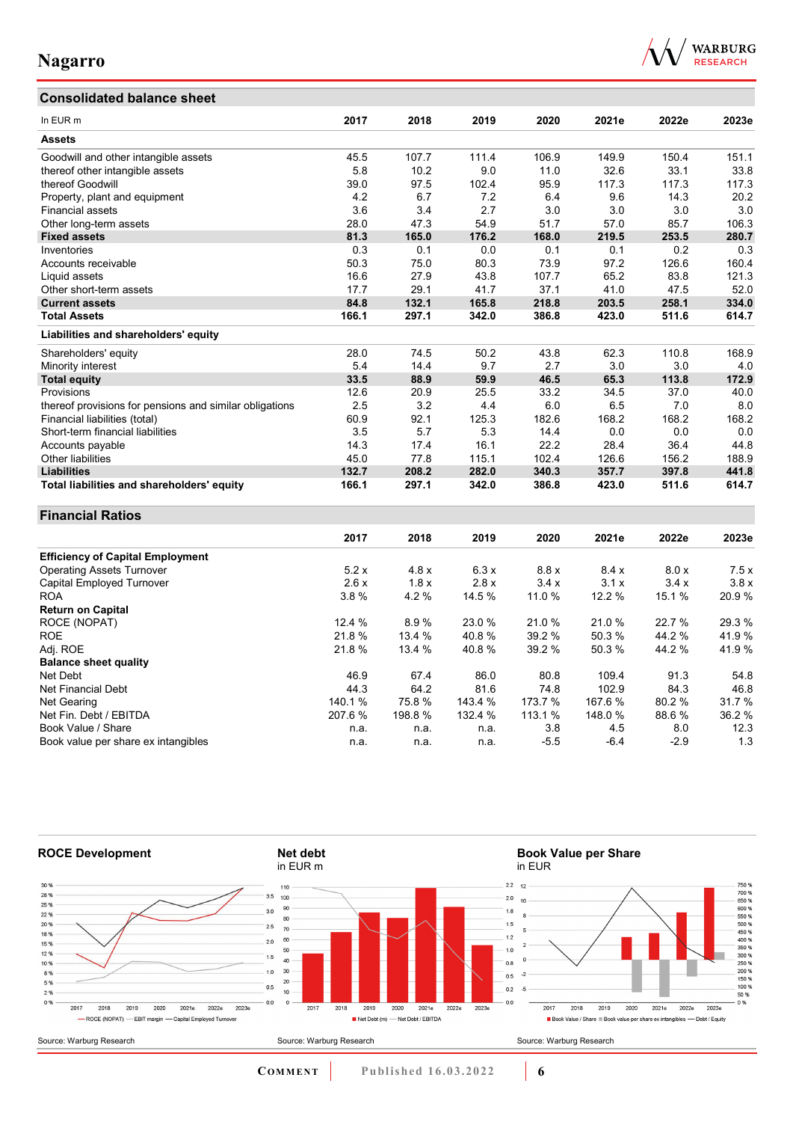# **Consolidated balance sheet**



| In EUR m                                                | 2017   | 2018   | 2019    | 2020    | 2021e  | 2022e  | 2023e |
|---------------------------------------------------------|--------|--------|---------|---------|--------|--------|-------|
| <b>Assets</b>                                           |        |        |         |         |        |        |       |
| Goodwill and other intangible assets                    | 45.5   | 107.7  | 111.4   | 106.9   | 149.9  | 150.4  | 151.1 |
| thereof other intangible assets                         | 5.8    | 10.2   | 9.0     | 11.0    | 32.6   | 33.1   | 33.8  |
| thereof Goodwill                                        | 39.0   | 97.5   | 102.4   | 95.9    | 117.3  | 117.3  | 117.3 |
| Property, plant and equipment                           | 4.2    | 6.7    | 7.2     | 6.4     | 9.6    | 14.3   | 20.2  |
| <b>Financial assets</b>                                 | 3.6    | 3.4    | 2.7     | 3.0     | 3.0    | 3.0    | 3.0   |
| Other long-term assets                                  | 28.0   | 47.3   | 54.9    | 51.7    | 57.0   | 85.7   | 106.3 |
| <b>Fixed assets</b>                                     | 81.3   | 165.0  | 176.2   | 168.0   | 219.5  | 253.5  | 280.7 |
| Inventories                                             | 0.3    | 0.1    | 0.0     | 0.1     | 0.1    | 0.2    | 0.3   |
| Accounts receivable                                     | 50.3   | 75.0   | 80.3    | 73.9    | 97.2   | 126.6  | 160.4 |
| Liquid assets                                           | 16.6   | 27.9   | 43.8    | 107.7   | 65.2   | 83.8   | 121.3 |
| Other short-term assets                                 | 17.7   | 29.1   | 41.7    | 37.1    | 41.0   | 47.5   | 52.0  |
| <b>Current assets</b>                                   | 84.8   | 132.1  | 165.8   | 218.8   | 203.5  | 258.1  | 334.0 |
| <b>Total Assets</b>                                     | 166.1  | 297.1  | 342.0   | 386.8   | 423.0  | 511.6  | 614.7 |
| Liabilities and shareholders' equity                    |        |        |         |         |        |        |       |
| Shareholders' equity                                    | 28.0   | 74.5   | 50.2    | 43.8    | 62.3   | 110.8  | 168.9 |
| Minority interest                                       | 5.4    | 14.4   | 9.7     | 2.7     | 3.0    | 3.0    | 4.0   |
| <b>Total equity</b>                                     | 33.5   | 88.9   | 59.9    | 46.5    | 65.3   | 113.8  | 172.9 |
| Provisions                                              | 12.6   | 20.9   | 25.5    | 33.2    | 34.5   | 37.0   | 40.0  |
| thereof provisions for pensions and similar obligations | 2.5    | 3.2    | 4.4     | 6.0     | 6.5    | 7.0    | 8.0   |
| Financial liabilities (total)                           | 60.9   | 92.1   | 125.3   | 182.6   | 168.2  | 168.2  | 168.2 |
| Short-term financial liabilities                        | 3.5    | 5.7    | 5.3     | 14.4    | 0.0    | 0.0    | 0.0   |
| Accounts payable                                        | 14.3   | 17.4   | 16.1    | 22.2    | 28.4   | 36.4   | 44.8  |
| Other liabilities                                       | 45.0   | 77.8   | 115.1   | 102.4   | 126.6  | 156.2  | 188.9 |
| <b>Liabilities</b>                                      | 132.7  | 208.2  | 282.0   | 340.3   | 357.7  | 397.8  | 441.8 |
| Total liabilities and shareholders' equity              | 166.1  | 297.1  | 342.0   | 386.8   | 423.0  | 511.6  | 614.7 |
| <b>Financial Ratios</b>                                 |        |        |         |         |        |        |       |
|                                                         | 2017   | 2018   | 2019    | 2020    | 2021e  | 2022e  | 2023e |
| <b>Efficiency of Capital Employment</b>                 |        |        |         |         |        |        |       |
| <b>Operating Assets Turnover</b>                        | 5.2x   | 4.8 x  | 6.3x    | 8.8x    | 8.4x   | 8.0 x  | 7.5x  |
| Capital Employed Turnover                               | 2.6x   | 1.8x   | 2.8x    | 3.4x    | 3.1x   | 3.4x   | 3.8x  |
| ROA                                                     | 3.8%   | 4.2%   | 14.5 %  | 11.0 %  | 12.2 % | 15.1 % | 20.9% |
| <b>Return on Capital</b>                                |        |        |         |         |        |        |       |
| ROCE (NOPAT)                                            | 12.4 % | 8.9%   | 23.0%   | 21.0%   | 21.0%  | 22.7 % | 29.3% |
| <b>ROE</b>                                              | 21.8%  | 13.4 % | 40.8%   | 39.2 %  | 50.3%  | 44.2%  | 41.9% |
| Adj. ROE                                                | 21.8%  | 13.4 % | 40.8%   | 39.2 %  | 50.3%  | 44.2%  | 41.9% |
| <b>Balance sheet quality</b>                            |        |        |         |         |        |        |       |
| Net Debt                                                | 46.9   | 67.4   | 86.0    | 80.8    | 109.4  | 91.3   | 54.8  |
| Net Financial Debt                                      | 44.3   | 64.2   | 81.6    | 74.8    | 102.9  | 84.3   | 46.8  |
| Net Gearing                                             | 140.1% | 75.8%  | 143.4 % | 173.7 % | 167.6% | 80.2%  | 31.7% |
| Net Fin. Debt / EBITDA                                  | 207.6% | 198.8% | 132.4 % | 113.1 % | 148.0% | 88.6%  | 36.2% |
| Book Value / Share                                      | n.a.   | n.a.   | n.a.    | 3.8     | 4.5    | 8.0    | 12.3  |
|                                                         | n.a.   | n.a.   | n.a.    | $-5.5$  | $-6.4$ | $-2.9$ | 1.3   |
| Book value per share ex intangibles                     |        |        |         |         |        |        |       |



**COMMENT Published 16.03.2022 6**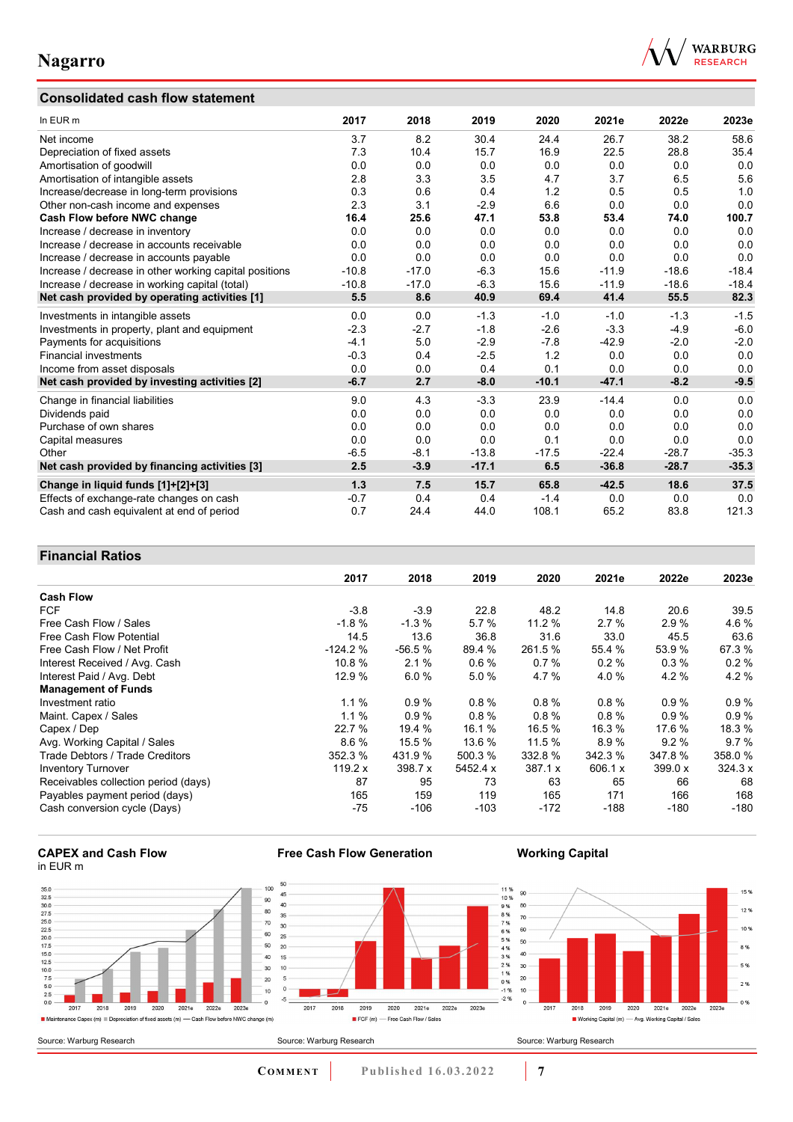# **Consolidated cash flow statement**



| In EUR m                                               | 2017    | 2018    | 2019    | 2020    | 2021e   | 2022e   | 2023e   |
|--------------------------------------------------------|---------|---------|---------|---------|---------|---------|---------|
| Net income                                             | 3.7     | 8.2     | 30.4    | 24.4    | 26.7    | 38.2    | 58.6    |
| Depreciation of fixed assets                           | 7.3     | 10.4    | 15.7    | 16.9    | 22.5    | 28.8    | 35.4    |
| Amortisation of goodwill                               | 0.0     | 0.0     | 0.0     | 0.0     | 0.0     | 0.0     | 0.0     |
| Amortisation of intangible assets                      | 2.8     | 3.3     | 3.5     | 4.7     | 3.7     | 6.5     | 5.6     |
| Increase/decrease in long-term provisions              | 0.3     | 0.6     | 0.4     | 1.2     | 0.5     | 0.5     | 1.0     |
| Other non-cash income and expenses                     | 2.3     | 3.1     | $-2.9$  | 6.6     | 0.0     | 0.0     | 0.0     |
| Cash Flow before NWC change                            | 16.4    | 25.6    | 47.1    | 53.8    | 53.4    | 74.0    | 100.7   |
| Increase / decrease in inventory                       | 0.0     | 0.0     | 0.0     | 0.0     | 0.0     | 0.0     | 0.0     |
| Increase / decrease in accounts receivable             | 0.0     | 0.0     | 0.0     | 0.0     | 0.0     | 0.0     | 0.0     |
| Increase / decrease in accounts payable                | 0.0     | 0.0     | 0.0     | 0.0     | 0.0     | 0.0     | 0.0     |
| Increase / decrease in other working capital positions | $-10.8$ | $-17.0$ | $-6.3$  | 15.6    | $-11.9$ | $-18.6$ | $-18.4$ |
| Increase / decrease in working capital (total)         | $-10.8$ | $-17.0$ | $-6.3$  | 15.6    | $-11.9$ | $-18.6$ | $-18.4$ |
| Net cash provided by operating activities [1]          | 5.5     | 8.6     | 40.9    | 69.4    | 41.4    | 55.5    | 82.3    |
| Investments in intangible assets                       | 0.0     | 0.0     | $-1.3$  | $-1.0$  | $-1.0$  | $-1.3$  | $-1.5$  |
| Investments in property, plant and equipment           | $-2.3$  | $-2.7$  | $-1.8$  | $-2.6$  | $-3.3$  | $-4.9$  | $-6.0$  |
| Payments for acquisitions                              | $-4.1$  | 5.0     | $-2.9$  | $-7.8$  | $-42.9$ | $-2.0$  | $-2.0$  |
| <b>Financial investments</b>                           | $-0.3$  | 0.4     | $-2.5$  | 1.2     | 0.0     | 0.0     | 0.0     |
| Income from asset disposals                            | 0.0     | 0.0     | 0.4     | 0.1     | 0.0     | 0.0     | 0.0     |
| Net cash provided by investing activities [2]          | $-6.7$  | 2.7     | $-8.0$  | $-10.1$ | $-47.1$ | $-8.2$  | $-9.5$  |
| Change in financial liabilities                        | 9.0     | 4.3     | $-3.3$  | 23.9    | $-14.4$ | 0.0     | 0.0     |
| Dividends paid                                         | 0.0     | 0.0     | 0.0     | 0.0     | 0.0     | 0.0     | 0.0     |
| Purchase of own shares                                 | 0.0     | 0.0     | 0.0     | 0.0     | 0.0     | 0.0     | 0.0     |
| Capital measures                                       | 0.0     | 0.0     | 0.0     | 0.1     | 0.0     | 0.0     | 0.0     |
| Other                                                  | $-6.5$  | $-8.1$  | $-13.8$ | $-17.5$ | $-22.4$ | $-28.7$ | $-35.3$ |
| Net cash provided by financing activities [3]          | 2.5     | $-3.9$  | $-17.1$ | 6.5     | $-36.8$ | $-28.7$ | $-35.3$ |
| Change in liquid funds [1]+[2]+[3]                     | 1.3     | 7.5     | 15.7    | 65.8    | $-42.5$ | 18.6    | 37.5    |
| Effects of exchange-rate changes on cash               | $-0.7$  | 0.4     | 0.4     | $-1.4$  | 0.0     | 0.0     | 0.0     |
| Cash and cash equivalent at end of period              | 0.7     | 24.4    | 44.0    | 108.1   | 65.2    | 83.8    | 121.3   |

## **Financial Ratios**

|                                      | 2017      | 2018     | 2019     | 2020    | 2021e    | 2022e     | 2023e    |
|--------------------------------------|-----------|----------|----------|---------|----------|-----------|----------|
| <b>Cash Flow</b>                     |           |          |          |         |          |           |          |
| <b>FCF</b>                           | $-3.8$    | $-3.9$   | 22.8     | 48.2    | 14.8     | 20.6      | 39.5     |
| Free Cash Flow / Sales               | $-1.8%$   | $-1.3%$  | 5.7%     | 11.2%   | 2.7%     | 2.9%      | 4.6%     |
| Free Cash Flow Potential             | 14.5      | 13.6     | 36.8     | 31.6    | 33.0     | 45.5      | 63.6     |
| Free Cash Flow / Net Profit          | $-124.2%$ | $-56.5%$ | 89.4 %   | 261.5 % | 55.4 %   | 53.9%     | 67.3%    |
| Interest Received / Avg. Cash        | 10.8%     | 2.1%     | 0.6%     | 0.7%    | $0.2 \%$ | 0.3%      | $0.2 \%$ |
| Interest Paid / Avg. Debt            | 12.9 %    | 6.0%     | 5.0%     | 4.7 %   | 4.0%     | 4.2%      | 4.2%     |
| <b>Management of Funds</b>           |           |          |          |         |          |           |          |
| Investment ratio                     | 1.1%      | 0.9%     | 0.8%     | 0.8%    | 0.8%     | 0.9%      | $0.9\%$  |
| Maint. Capex / Sales                 | 1.1%      | 0.9%     | $0.8 \%$ | 0.8%    | 0.8%     | 0.9%      | 0.9%     |
| Capex / Dep                          | 22.7 %    | 19.4 %   | 16.1 %   | 16.5 %  | 16.3 %   | 17.6 %    | 18.3 %   |
| Avg. Working Capital / Sales         | 8.6%      | 15.5 %   | 13.6 %   | 11.5 %  | 8.9%     | 9.2%      | 9.7%     |
| Trade Debtors / Trade Creditors      | 352.3 %   | 431.9 %  | 500.3 %  | 332.8 % | 342.3 %  | 347.8%    | 358.0%   |
| <b>Inventory Turnover</b>            | 119.2 $x$ | 398.7 x  | 5452.4 x | 387.1 x | 606.1 x  | 399.0 $x$ | 324.3 x  |
| Receivables collection period (days) | 87        | 95       | 73       | 63      | 65       | 66        | 68       |
| Payables payment period (days)       | 165       | 159      | 119      | 165     | 171      | 166       | 168      |
| Cash conversion cycle (Days)         | -75       | -106     | $-103$   | $-172$  | $-188$   | $-180$    | $-180$   |

#### **CAPEX and Cash Flow** in EUR m



**Free Cash Flow Generation**

**COMMENT** Published 16.03.2022 7

**Working Capital**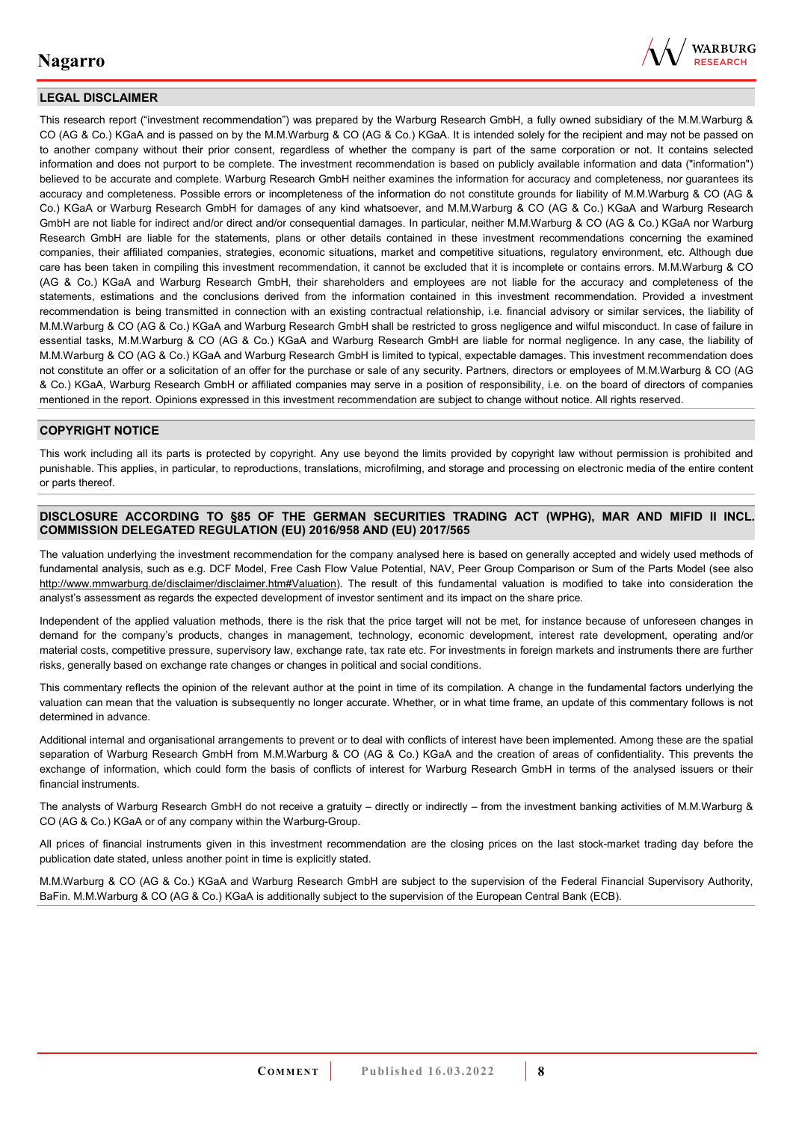

## **LEGAL DISCLAIMER**

This research report ("investment recommendation") was prepared by the Warburg Research GmbH, a fully owned subsidiary of the M.M.Warburg & CO (AG & Co.) KGaA and is passed on by the M.M.Warburg & CO (AG & Co.) KGaA. It is intended solely for the recipient and may not be passed on to another company without their prior consent, regardless of whether the company is part of the same corporation or not. It contains selected information and does not purport to be complete. The investment recommendation is based on publicly available information and data ("information") believed to be accurate and complete. Warburg Research GmbH neither examines the information for accuracy and completeness, nor guarantees its accuracy and completeness. Possible errors or incompleteness of the information do not constitute grounds for liability of M.M.Warburg & CO (AG & Co.) KGaA or Warburg Research GmbH for damages of any kind whatsoever, and M.M.Warburg & CO (AG & Co.) KGaA and Warburg Research GmbH are not liable for indirect and/or direct and/or consequential damages. In particular, neither M.M.Warburg & CO (AG & Co.) KGaA nor Warburg Research GmbH are liable for the statements, plans or other details contained in these investment recommendations concerning the examined companies, their affiliated companies, strategies, economic situations, market and competitive situations, regulatory environment, etc. Although due care has been taken in compiling this investment recommendation, it cannot be excluded that it is incomplete or contains errors. M.M.Warburg & CO (AG & Co.) KGaA and Warburg Research GmbH, their shareholders and employees are not liable for the accuracy and completeness of the statements, estimations and the conclusions derived from the information contained in this investment recommendation. Provided a investment recommendation is being transmitted in connection with an existing contractual relationship, i.e. financial advisory or similar services, the liability of M.M.Warburg & CO (AG & Co.) KGaA and Warburg Research GmbH shall be restricted to gross negligence and wilful misconduct. In case of failure in essential tasks, M.M.Warburg & CO (AG & Co.) KGaA and Warburg Research GmbH are liable for normal negligence. In any case, the liability of M.M.Warburg & CO (AG & Co.) KGaA and Warburg Research GmbH is limited to typical, expectable damages. This investment recommendation does not constitute an offer or a solicitation of an offer for the purchase or sale of any security. Partners, directors or employees of M.M.Warburg & CO (AG & Co.) KGaA, Warburg Research GmbH or affiliated companies may serve in a position of responsibility, i.e. on the board of directors of companies mentioned in the report. Opinions expressed in this investment recommendation are subject to change without notice. All rights reserved.

### **COPYRIGHT NOTICE**

This work including all its parts is protected by copyright. Any use beyond the limits provided by copyright law without permission is prohibited and punishable. This applies, in particular, to reproductions, translations, microfilming, and storage and processing on electronic media of the entire content or parts thereof.

#### **DISCLOSURE ACCORDING TO §85 OF THE GERMAN SECURITIES TRADING ACT (WPHG), MAR AND MIFID II INCL. COMMISSION DELEGATED REGULATION (EU) 2016/958 AND (EU) 2017/565**

The valuation underlying the investment recommendation for the company analysed here is based on generally accepted and widely used methods of fundamental analysis, such as e.g. DCF Model, Free Cash Flow Value Potential, NAV, Peer Group Comparison or Sum of the Parts Model (see also [http://www.mmwarburg.de/disclaimer/disclaimer.htm#Valuation\)](http://www.mmwarburg.de/disclaimer/disclaimer.htm#Valuation). The result of this fundamental valuation is modified to take into consideration the analyst's assessment as regards the expected development of investor sentiment and its impact on the share price.

Independent of the applied valuation methods, there is the risk that the price target will not be met, for instance because of unforeseen changes in demand for the company's products, changes in management, technology, economic development, interest rate development, operating and/or material costs, competitive pressure, supervisory law, exchange rate, tax rate etc. For investments in foreign markets and instruments there are further risks, generally based on exchange rate changes or changes in political and social conditions.

This commentary reflects the opinion of the relevant author at the point in time of its compilation. A change in the fundamental factors underlying the valuation can mean that the valuation is subsequently no longer accurate. Whether, or in what time frame, an update of this commentary follows is not determined in advance.

Additional internal and organisational arrangements to prevent or to deal with conflicts of interest have been implemented. Among these are the spatial separation of Warburg Research GmbH from M.M.Warburg & CO (AG & Co.) KGaA and the creation of areas of confidentiality. This prevents the exchange of information, which could form the basis of conflicts of interest for Warburg Research GmbH in terms of the analysed issuers or their financial instruments.

The analysts of Warburg Research GmbH do not receive a gratuity – directly or indirectly – from the investment banking activities of M.M.Warburg & CO (AG & Co.) KGaA or of any company within the Warburg-Group.

All prices of financial instruments given in this investment recommendation are the closing prices on the last stock-market trading day before the publication date stated, unless another point in time is explicitly stated.

M.M.Warburg & CO (AG & Co.) KGaA and Warburg Research GmbH are subject to the supervision of the Federal Financial Supervisory Authority, BaFin. M.M.Warburg & CO (AG & Co.) KGaA is additionally subject to the supervision of the European Central Bank (ECB).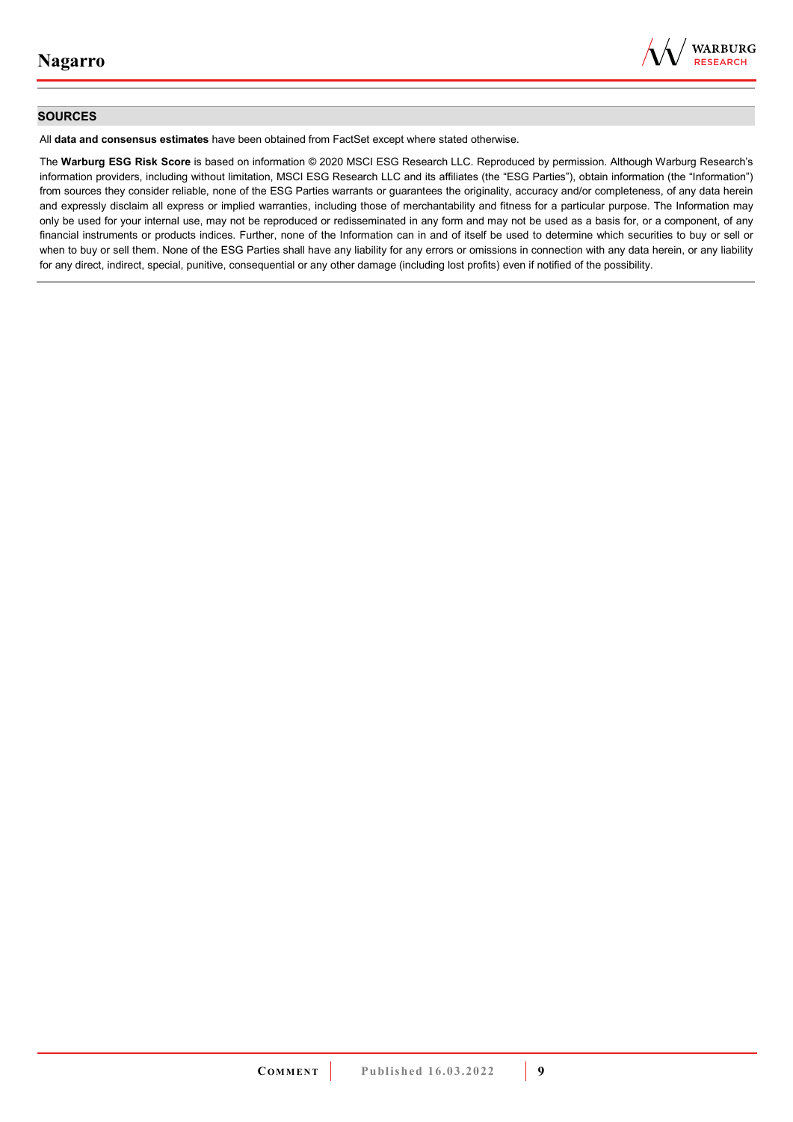

### **SOURCES**

All **data and consensus estimates** have been obtained from FactSet except where stated otherwise.

The **Warburg ESG Risk Score** is based on information © 2020 MSCI ESG Research LLC. Reproduced by permission. Although Warburg Research's information providers, including without limitation, MSCI ESG Research LLC and its affiliates (the "ESG Parties"), obtain information (the "Information") from sources they consider reliable, none of the ESG Parties warrants or guarantees the originality, accuracy and/or completeness, of any data herein and expressly disclaim all express or implied warranties, including those of merchantability and fitness for a particular purpose. The Information may only be used for your internal use, may not be reproduced or redisseminated in any form and may not be used as a basis for, or a component, of any financial instruments or products indices. Further, none of the Information can in and of itself be used to determine which securities to buy or sell or when to buy or sell them. None of the ESG Parties shall have any liability for any errors or omissions in connection with any data herein, or any liability for any direct, indirect, special, punitive, consequential or any other damage (including lost profits) even if notified of the possibility.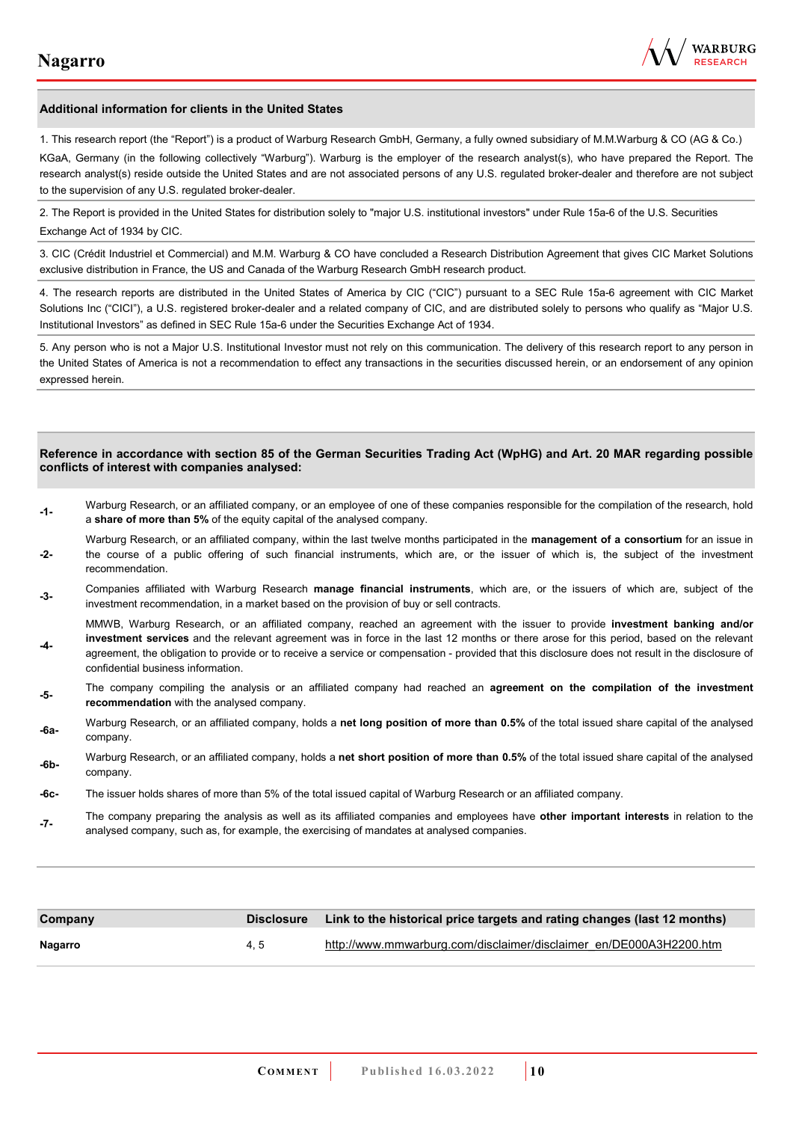

#### **Additional information for clients in the United States**

1. This research report (the "Report") is a product of Warburg Research GmbH, Germany, a fully owned subsidiary of M.M.Warburg & CO (AG & Co.)

KGaA, Germany (in the following collectively "Warburg"). Warburg is the employer of the research analyst(s), who have prepared the Report. The research analyst(s) reside outside the United States and are not associated persons of any U.S. regulated broker-dealer and therefore are not subject to the supervision of any U.S. regulated broker-dealer.

2. The Report is provided in the United States for distribution solely to "major U.S. institutional investors" under Rule 15a-6 of the U.S. Securities Exchange Act of 1934 by CIC.

3. CIC (Crédit Industriel et Commercial) and M.M. Warburg & CO have concluded a Research Distribution Agreement that gives CIC Market Solutions exclusive distribution in France, the US and Canada of the Warburg Research GmbH research product.

4. The research reports are distributed in the United States of America by CIC ("CIC") pursuant to a SEC Rule 15a-6 agreement with CIC Market Solutions Inc ("CICI"), a U.S. registered broker-dealer and a related company of CIC, and are distributed solely to persons who qualify as "Major U.S. Institutional Investors" as defined in SEC Rule 15a-6 under the Securities Exchange Act of 1934.

5. Any person who is not a Major U.S. Institutional Investor must not rely on this communication. The delivery of this research report to any person in the United States of America is not a recommendation to effect any transactions in the securities discussed herein, or an endorsement of any opinion expressed herein.

#### **Reference in accordance with section 85 of the German Securities Trading Act (WpHG) and Art. 20 MAR regarding possible conflicts of interest with companies analysed:**

- **-1-** Warburg Research, or an affiliated company, or an employee of one of these companies responsible for the compilation of the research, hold a **share of more than 5%** of the equity capital of the analysed company.
- **-2-**  Warburg Research, or an affiliated company, within the last twelve months participated in the **management of a consortium** for an issue in the course of a public offering of such financial instruments, which are, or the issuer of which is, the subject of the investment recommendation.
- **-3-** Companies affiliated with Warburg Research **manage financial instruments**, which are, or the issuers of which are, subject of the investment recommendation, in a market based on the provision of buy or sell contracts.

MMWB, Warburg Research, or an affiliated company, reached an agreement with the issuer to provide **investment banking and/or investment services** and the relevant agreement was in force in the last 12 months or there arose for this period, based on the relevant

- **-4**  agreement, the obligation to provide or to receive a service or compensation - provided that this disclosure does not result in the disclosure of confidential business information.
- **-5-** The company compiling the analysis or an affiliated company had reached an **agreement on the compilation of the investment recommendation** with the analysed company.
- **-6a-** Warburg Research, or an affiliated company, holds a **net long position of more than 0.5%** of the total issued share capital of the analysed company.
- **-6b-** Warburg Research, or an affiliated company, holds a **net short position of more than 0.5%** of the total issued share capital of the analysed company.
- **-6c-** The issuer holds shares of more than 5% of the total issued capital of Warburg Research or an affiliated company.
- **-7-** The company preparing the analysis as well as its affiliated companies and employees have **other important interests** in relation to the analysed company, such as, for example, the exercising of mandates at analysed companies.

| Company | <b>Disclosure</b> | Link to the historical price targets and rating changes (last 12 months) |
|---------|-------------------|--------------------------------------------------------------------------|
| Nagarro | 4.5               | http://www.mmwarburg.com/disclaimer/disclaimer_en/DE000A3H2200.htm       |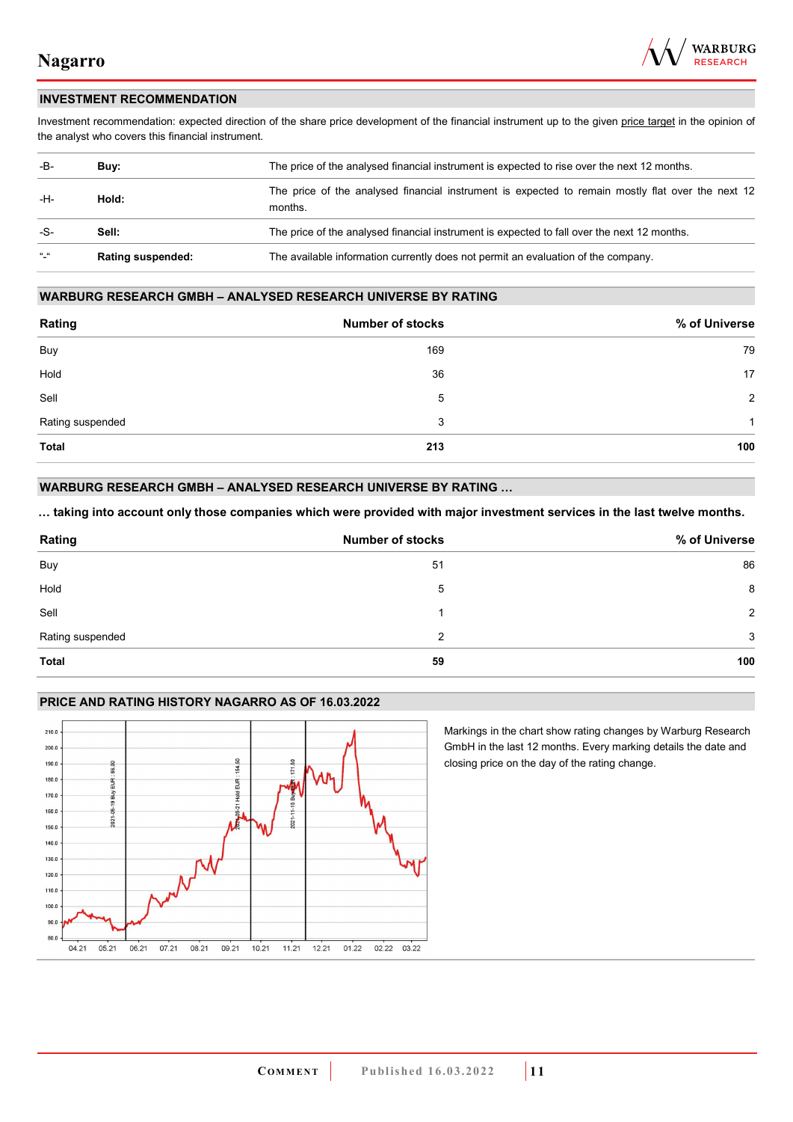

## **INVESTMENT RECOMMENDATION**

Investment recommendation: expected direction of the share price development of the financial instrument up to the given price target in the opinion of the analyst who covers this financial instrument.

| -B-           | Buy:                     | The price of the analysed financial instrument is expected to rise over the next 12 months.                  |  |
|---------------|--------------------------|--------------------------------------------------------------------------------------------------------------|--|
| -H-           | Hold:                    | The price of the analysed financial instrument is expected to remain mostly flat over the next 12<br>months. |  |
| -S-           | Sell:                    | The price of the analysed financial instrument is expected to fall over the next 12 months.                  |  |
| $\frac{1}{2}$ | <b>Rating suspended:</b> | The available information currently does not permit an evaluation of the company.                            |  |

#### **WARBURG RESEARCH GMBH – ANALYSED RESEARCH UNIVERSE BY RATING**

| Rating           | <b>Number of stocks</b> | % of Universe  |
|------------------|-------------------------|----------------|
| Buy              | 169                     | 79             |
| Hold             | 36                      | 17             |
| Sell             | 5                       | $\overline{2}$ |
| Rating suspended | 3                       | 1              |
| <b>Total</b>     | 213                     | 100            |

## **WARBURG RESEARCH GMBH – ANALYSED RESEARCH UNIVERSE BY RATING …**

**… taking into account only those companies which were provided with major investment services in the last twelve months.** 

| Rating           | <b>Number of stocks</b> | % of Universe |
|------------------|-------------------------|---------------|
| Buy              | 51                      | 86            |
| Hold             | 5                       | 8             |
| Sell             |                         | 2             |
| Rating suspended | 2                       | 3             |
| Total            | 59                      | 100           |

### **PRICE AND RATING HISTORY NAGARRO AS OF 16.03.2022**



Markings in the chart show rating changes by Warburg Research GmbH in the last 12 months. Every marking details the date and closing price on the day of the rating change.